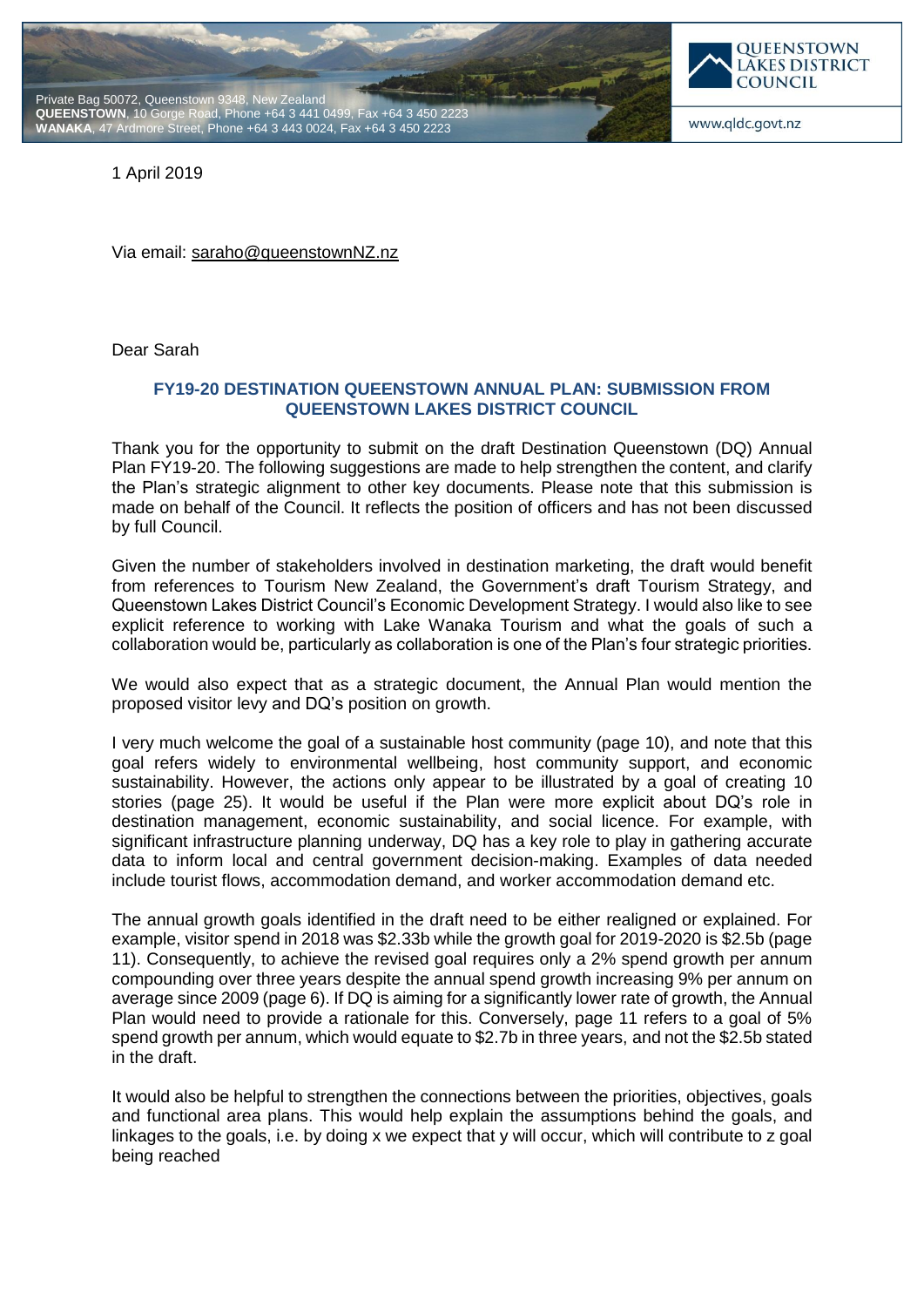



www.qldc.govt.nz

1 April 2019

Via email: [saraho@queenstownNZ.nz](mailto:saraho@queenstownNZ.nz)

Dear Sarah

## **FY19-20 DESTINATION QUEENSTOWN ANNUAL PLAN: SUBMISSION FROM QUEENSTOWN LAKES DISTRICT COUNCIL**

Thank you for the opportunity to submit on the draft Destination Queenstown (DQ) Annual Plan FY19-20. The following suggestions are made to help strengthen the content, and clarify the Plan's strategic alignment to other key documents. Please note that this submission is made on behalf of the Council. It reflects the position of officers and has not been discussed by full Council.

Given the number of stakeholders involved in destination marketing, the draft would benefit from references to Tourism New Zealand, the Government's draft Tourism Strategy, and Queenstown Lakes District Council's Economic Development Strategy. I would also like to see explicit reference to working with Lake Wanaka Tourism and what the goals of such a collaboration would be, particularly as collaboration is one of the Plan's four strategic priorities.

We would also expect that as a strategic document, the Annual Plan would mention the proposed visitor levy and DQ's position on growth.

I very much welcome the goal of a sustainable host community (page 10), and note that this goal refers widely to environmental wellbeing, host community support, and economic sustainability. However, the actions only appear to be illustrated by a goal of creating 10 stories (page 25). It would be useful if the Plan were more explicit about DQ's role in destination management, economic sustainability, and social licence. For example, with significant infrastructure planning underway, DQ has a key role to play in gathering accurate data to inform local and central government decision-making. Examples of data needed include tourist flows, accommodation demand, and worker accommodation demand etc.

The annual growth goals identified in the draft need to be either realigned or explained. For example, visitor spend in 2018 was \$2.33b while the growth goal for 2019-2020 is \$2.5b (page 11). Consequently, to achieve the revised goal requires only a 2% spend growth per annum compounding over three years despite the annual spend growth increasing 9% per annum on average since 2009 (page 6). If DQ is aiming for a significantly lower rate of growth, the Annual Plan would need to provide a rationale for this. Conversely, page 11 refers to a goal of 5% spend growth per annum, which would equate to \$2.7b in three years, and not the \$2.5b stated in the draft.

It would also be helpful to strengthen the connections between the priorities, objectives, goals and functional area plans. This would help explain the assumptions behind the goals, and linkages to the goals, i.e. by doing x we expect that y will occur, which will contribute to z goal being reached